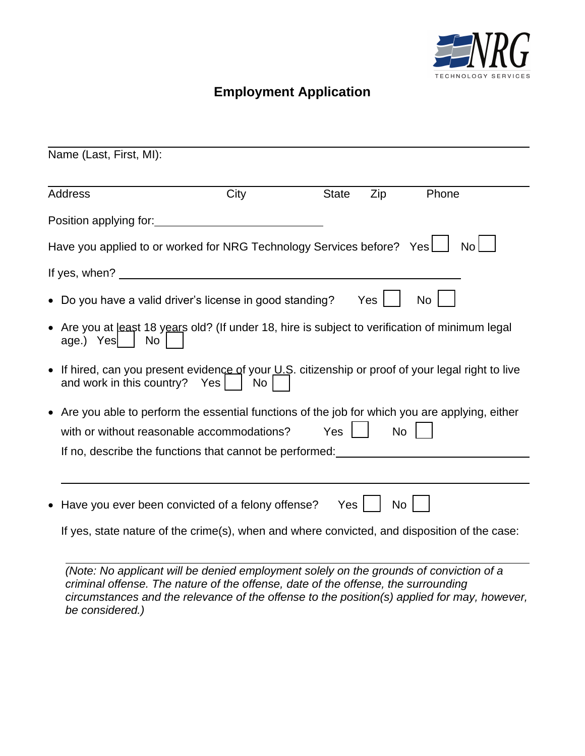

## **Employment Application**

| Name (Last, First, MI):                                                                                                                                                                                  |      |              |           |           |
|----------------------------------------------------------------------------------------------------------------------------------------------------------------------------------------------------------|------|--------------|-----------|-----------|
| <b>Address</b>                                                                                                                                                                                           | City | <b>State</b> | Zip       | Phone     |
|                                                                                                                                                                                                          |      |              |           |           |
| Have you applied to or worked for NRG Technology Services before? Yes                                                                                                                                    |      |              |           | <b>No</b> |
|                                                                                                                                                                                                          |      |              |           |           |
| • Do you have a valid driver's license in good standing?                                                                                                                                                 |      |              | Yes       | <b>No</b> |
| Are you at least 18 years old? (If under 18, hire is subject to verification of minimum legal<br>$\bullet$<br>age.) Yes   No                                                                             |      |              |           |           |
| • If hired, can you present evidence of your U.S. citizenship or proof of your legal right to live<br>and work in this country? Yes $\vert$                                                              | No   |              |           |           |
| • Are you able to perform the essential functions of the job for which you are applying, either<br>with or without reasonable accommodations?<br>If no, describe the functions that cannot be performed: |      | <b>Yes</b>   | <b>No</b> |           |
|                                                                                                                                                                                                          |      |              |           |           |
| • Have you ever been convicted of a felony offense?                                                                                                                                                      |      | Yes          | <b>No</b> |           |
| If yes, state nature of the crime(s), when and where convicted, and disposition of the case:                                                                                                             |      |              |           |           |

*(Note: No applicant will be denied employment solely on the grounds of conviction of a criminal offense. The nature of the offense, date of the offense, the surrounding circumstances and the relevance of the offense to the position(s) applied for may, however, be considered.)*